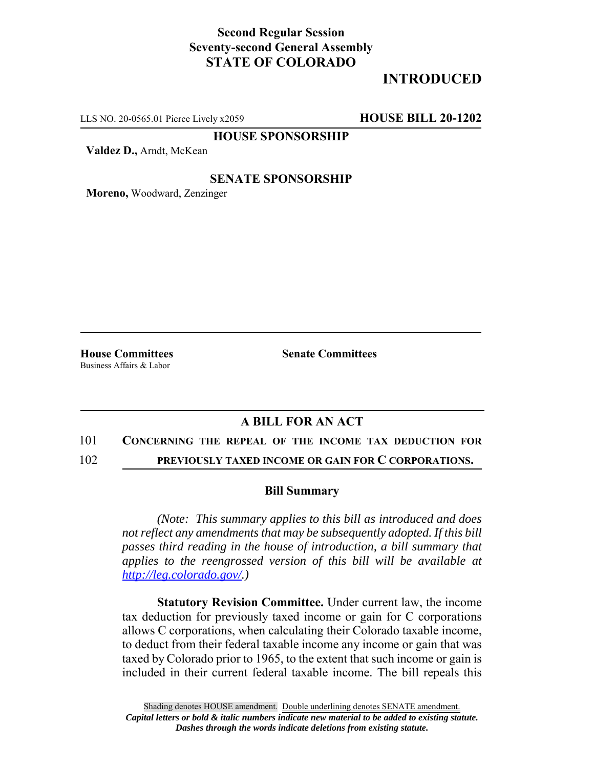# **Second Regular Session Seventy-second General Assembly STATE OF COLORADO**

# **INTRODUCED**

LLS NO. 20-0565.01 Pierce Lively x2059 **HOUSE BILL 20-1202**

**HOUSE SPONSORSHIP**

**Valdez D.,** Arndt, McKean

### **SENATE SPONSORSHIP**

**Moreno,** Woodward, Zenzinger

Business Affairs & Labor

**House Committees Senate Committees** 

## **A BILL FOR AN ACT**

### 101 **CONCERNING THE REPEAL OF THE INCOME TAX DEDUCTION FOR**

102 **PREVIOUSLY TAXED INCOME OR GAIN FOR C CORPORATIONS.**

#### **Bill Summary**

*(Note: This summary applies to this bill as introduced and does not reflect any amendments that may be subsequently adopted. If this bill passes third reading in the house of introduction, a bill summary that applies to the reengrossed version of this bill will be available at http://leg.colorado.gov/.)*

**Statutory Revision Committee.** Under current law, the income tax deduction for previously taxed income or gain for C corporations allows C corporations, when calculating their Colorado taxable income, to deduct from their federal taxable income any income or gain that was taxed by Colorado prior to 1965, to the extent that such income or gain is included in their current federal taxable income. The bill repeals this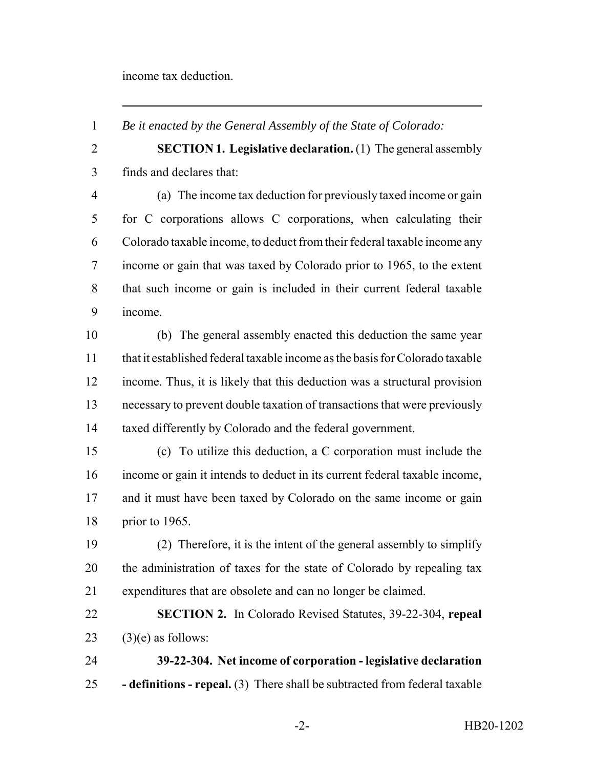income tax deduction.

*Be it enacted by the General Assembly of the State of Colorado:*

 **SECTION 1. Legislative declaration.** (1) The general assembly finds and declares that:

 (a) The income tax deduction for previously taxed income or gain for C corporations allows C corporations, when calculating their Colorado taxable income, to deduct from their federal taxable income any income or gain that was taxed by Colorado prior to 1965, to the extent that such income or gain is included in their current federal taxable income.

 (b) The general assembly enacted this deduction the same year that it established federal taxable income as the basis for Colorado taxable income. Thus, it is likely that this deduction was a structural provision necessary to prevent double taxation of transactions that were previously taxed differently by Colorado and the federal government.

 (c) To utilize this deduction, a C corporation must include the income or gain it intends to deduct in its current federal taxable income, and it must have been taxed by Colorado on the same income or gain prior to 1965.

 (2) Therefore, it is the intent of the general assembly to simplify the administration of taxes for the state of Colorado by repealing tax expenditures that are obsolete and can no longer be claimed.

 **SECTION 2.** In Colorado Revised Statutes, 39-22-304, **repeal** (3)(e) as follows:

 **39-22-304. Net income of corporation - legislative declaration - definitions - repeal.** (3) There shall be subtracted from federal taxable